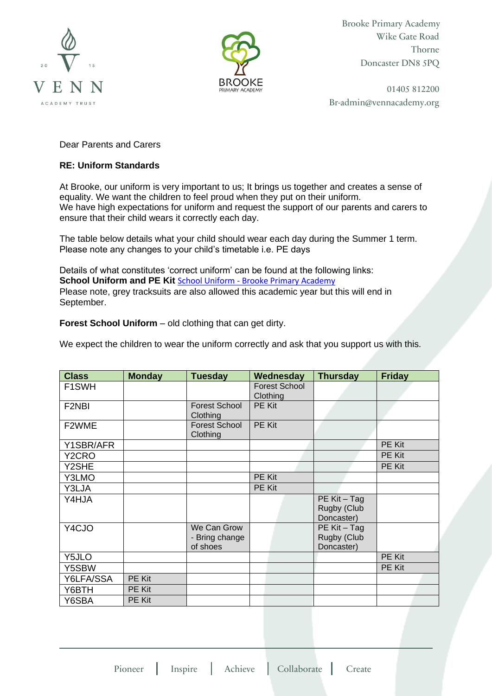



Brooke Primary Academy Wike Gate Road Thorne Doncaster DN8 5PQ

01405 812200 Br-admin@vennacademy.org

Dear Parents and Carers

## **RE: Uniform Standards**

At Brooke, our uniform is very important to us; It brings us together and creates a sense of equality. We want the children to feel proud when they put on their uniform. We have high expectations for uniform and request the support of our parents and carers to ensure that their child wears it correctly each day.

The table below details what your child should wear each day during the Summer 1 term. Please note any changes to your child's timetable i.e. PE days

Details of what constitutes 'correct uniform' can be found at the following links: **School Uniform and PE Kit** School Uniform - [Brooke Primary Academy](https://brookeprimaryacademy.org.uk/school-uniform/) Please note, grey tracksuits are also allowed this academic year but this will end in September.

**Forest School Uniform** – old clothing that can get dirty.

We expect the children to wear the uniform correctly and ask that you support us with this.

| <b>Class</b> | <b>Monday</b> | <b>Tuesday</b>                            | Wednesday                        | <b>Thursday</b>                           | <b>Friday</b> |
|--------------|---------------|-------------------------------------------|----------------------------------|-------------------------------------------|---------------|
| F1SWH        |               |                                           | <b>Forest School</b><br>Clothing |                                           |               |
| F2NBI        |               | <b>Forest School</b><br>Clothing          | <b>PE Kit</b>                    |                                           |               |
| F2WME        |               | <b>Forest School</b><br>Clothing          | PE Kit                           |                                           |               |
| Y1SBR/AFR    |               |                                           |                                  |                                           | PE Kit        |
| Y2CRO        |               |                                           |                                  |                                           | PE Kit        |
| Y2SHE        |               |                                           |                                  |                                           | PE Kit        |
| Y3LMO        |               |                                           | PE Kit                           |                                           |               |
| Y3LJA        |               |                                           | PE Kit                           |                                           |               |
| Y4HJA        |               |                                           |                                  | PE Kit - Tag<br>Rugby (Club<br>Doncaster) |               |
| Y4CJO        |               | We Can Grow<br>- Bring change<br>of shoes |                                  | PE Kit - Tag<br>Rugby (Club<br>Doncaster) |               |
| Y5JLO        |               |                                           |                                  |                                           | PE Kit        |
| Y5SBW        |               |                                           |                                  |                                           | PE Kit        |
| Y6LFA/SSA    | PE Kit        |                                           |                                  |                                           |               |
| Y6BTH        | PE Kit        |                                           |                                  |                                           |               |
| Y6SBA        | PE Kit        |                                           |                                  |                                           |               |